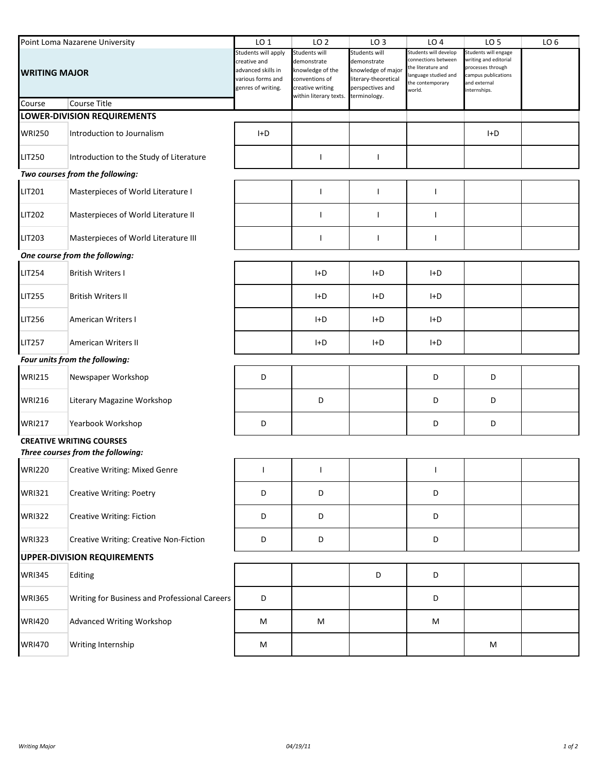| Point Loma Nazarene University |                                               | LO <sub>1</sub>                                                                                      | LO <sub>2</sub>                                                                                                  | LO <sub>3</sub>                                                                                               | LO <sub>4</sub>                                                                                                          | LO <sub>5</sub>                                                                                                          | LO <sub>6</sub> |
|--------------------------------|-----------------------------------------------|------------------------------------------------------------------------------------------------------|------------------------------------------------------------------------------------------------------------------|---------------------------------------------------------------------------------------------------------------|--------------------------------------------------------------------------------------------------------------------------|--------------------------------------------------------------------------------------------------------------------------|-----------------|
| <b>WRITING MAJOR</b>           |                                               | Students will apply<br>creative and<br>advanced skills in<br>various forms and<br>genres of writing. | Students will<br>demonstrate<br>knowledge of the<br>conventions of<br>creative writing<br>within literary texts. | Students will<br>demonstrate<br>nowledge of major<br>literary-theoretical<br>perspectives and<br>terminology. | Students will develop<br>connections between<br>the literature and<br>language studied and<br>the contemporary<br>world. | Students will engage<br>writing and editorial<br>processes through<br>campus publications<br>and external<br>nternships. |                 |
| Course                         | Course Title                                  |                                                                                                      |                                                                                                                  |                                                                                                               |                                                                                                                          |                                                                                                                          |                 |
|                                | LOWER-DIVISION REQUIREMENTS                   |                                                                                                      |                                                                                                                  |                                                                                                               |                                                                                                                          |                                                                                                                          |                 |
| <b>WRI250</b>                  | Introduction to Journalism                    | I+D                                                                                                  |                                                                                                                  |                                                                                                               |                                                                                                                          | I+D                                                                                                                      |                 |
| LIT250                         | Introduction to the Study of Literature       |                                                                                                      | ı                                                                                                                | $\mathsf{l}$                                                                                                  |                                                                                                                          |                                                                                                                          |                 |
|                                | Two courses from the following:               |                                                                                                      |                                                                                                                  |                                                                                                               |                                                                                                                          |                                                                                                                          |                 |
| LIT201                         | Masterpieces of World Literature I            |                                                                                                      | ı                                                                                                                | $\mathbf{I}$                                                                                                  | $\mathbf{I}$                                                                                                             |                                                                                                                          |                 |
| LIT202                         | Masterpieces of World Literature II           |                                                                                                      | ı                                                                                                                | $\overline{\phantom{a}}$                                                                                      | $\mathbf{I}$                                                                                                             |                                                                                                                          |                 |
| LIT203                         | Masterpieces of World Literature III          |                                                                                                      | ı                                                                                                                | $\mathbf{I}$                                                                                                  | $\mathbf{I}$                                                                                                             |                                                                                                                          |                 |
|                                | One course from the following:                |                                                                                                      |                                                                                                                  |                                                                                                               |                                                                                                                          |                                                                                                                          |                 |
| LIT254                         | <b>British Writers I</b>                      |                                                                                                      | $H+D$                                                                                                            | $H^+D$                                                                                                        | I+D                                                                                                                      |                                                                                                                          |                 |
| LIT255                         | <b>British Writers II</b>                     |                                                                                                      | $H+D$                                                                                                            | $H^+D$                                                                                                        | $H+D$                                                                                                                    |                                                                                                                          |                 |
| LIT256                         | <b>American Writers I</b>                     |                                                                                                      | I+D                                                                                                              | $H^+D$                                                                                                        | I+D                                                                                                                      |                                                                                                                          |                 |
| LIT257                         | American Writers II                           |                                                                                                      | I+D                                                                                                              | I+D                                                                                                           | $H+D$                                                                                                                    |                                                                                                                          |                 |
|                                | Four units from the following:                |                                                                                                      |                                                                                                                  |                                                                                                               |                                                                                                                          |                                                                                                                          |                 |
| <b>WRI215</b>                  | Newspaper Workshop                            | D                                                                                                    |                                                                                                                  |                                                                                                               | D                                                                                                                        | D                                                                                                                        |                 |
| WRI216                         | Literary Magazine Workshop                    |                                                                                                      | D                                                                                                                |                                                                                                               | D                                                                                                                        | D                                                                                                                        |                 |
| <b>WRI217</b>                  | Yearbook Workshop                             | D                                                                                                    |                                                                                                                  |                                                                                                               | D                                                                                                                        | D                                                                                                                        |                 |
|                                | <b>CREATIVE WRITING COURSES</b>               |                                                                                                      |                                                                                                                  |                                                                                                               |                                                                                                                          |                                                                                                                          |                 |
|                                | Three courses from the following:             |                                                                                                      |                                                                                                                  |                                                                                                               |                                                                                                                          |                                                                                                                          |                 |
| WRI220                         | Creative Writing: Mixed Genre                 |                                                                                                      |                                                                                                                  |                                                                                                               |                                                                                                                          |                                                                                                                          |                 |
| WRI321                         | <b>Creative Writing: Poetry</b>               | D                                                                                                    | D                                                                                                                |                                                                                                               | D                                                                                                                        |                                                                                                                          |                 |
| <b>WRI322</b>                  | Creative Writing: Fiction                     | D                                                                                                    | D                                                                                                                |                                                                                                               | D                                                                                                                        |                                                                                                                          |                 |
| <b>WRI323</b>                  | Creative Writing: Creative Non-Fiction        | D                                                                                                    | D                                                                                                                |                                                                                                               | D                                                                                                                        |                                                                                                                          |                 |
|                                | <b>UPPER-DIVISION REQUIREMENTS</b>            |                                                                                                      |                                                                                                                  |                                                                                                               |                                                                                                                          |                                                                                                                          |                 |
| <b>WRI345</b>                  | Editing                                       |                                                                                                      |                                                                                                                  | D                                                                                                             | D                                                                                                                        |                                                                                                                          |                 |
| <b>WRI365</b>                  | Writing for Business and Professional Careers | D                                                                                                    |                                                                                                                  |                                                                                                               | D                                                                                                                        |                                                                                                                          |                 |
| <b>WRI420</b>                  | Advanced Writing Workshop                     | M                                                                                                    | M                                                                                                                |                                                                                                               | M                                                                                                                        |                                                                                                                          |                 |
| <b>WRI470</b>                  | Writing Internship                            | M                                                                                                    |                                                                                                                  |                                                                                                               |                                                                                                                          | M                                                                                                                        |                 |
|                                |                                               |                                                                                                      |                                                                                                                  |                                                                                                               |                                                                                                                          |                                                                                                                          |                 |